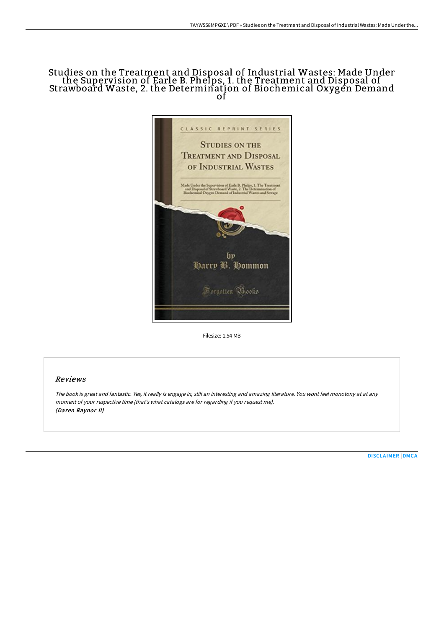# Studies on the Treatment and Disposal of Industrial Wastes: Made Under the Supervision of Earle B. Phelps, 1. the Treatment and Disposal of Strawboard Waste, 2. the Determination of Biochemical Oxygen Demand of



Filesize: 1.54 MB

## Reviews

The book is great and fantastic. Yes, it really is engage in, still an interesting and amazing literature. You wont feel monotony at at any moment of your respective time (that's what catalogs are for regarding if you request me). (Daren Raynor II)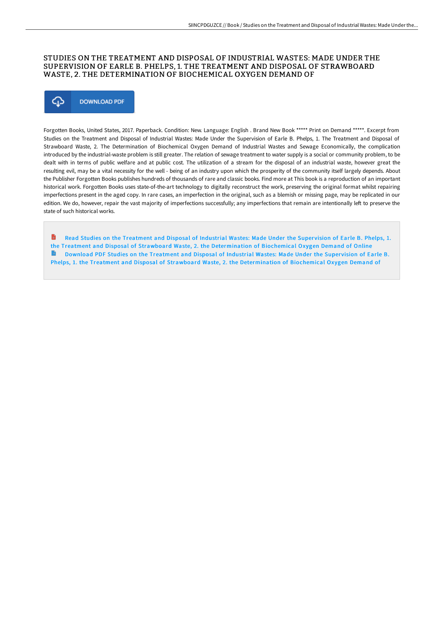### STUDIES ON THE TREATMENT AND DISPOSAL OF INDUSTRIAL WASTES: MADE UNDER THE SUPERVISION OF EARLE B. PHELPS, 1. THE TREATMENT AND DISPOSAL OF STRAWBOARD WASTE, 2. THE DETERMINATION OF BIOCHEMICAL OXYGEN DEMAND OF



Forgotten Books, United States, 2017. Paperback. Condition: New. Language: English . Brand New Book \*\*\*\*\* Print on Demand \*\*\*\*\*. Excerpt from Studies on the Treatment and Disposal of Industrial Wastes: Made Under the Supervision of Earle B. Phelps, 1. The Treatment and Disposal of Strawboard Waste, 2. The Determination of Biochemical Oxygen Demand of Industrial Wastes and Sewage Economically, the complication introduced by the industrial-waste problem is still greater. The relation of sewage treatment to water supply is a social or community problem, to be dealt with in terms of public welfare and at public cost. The utilization of a stream for the disposal of an industrial waste, however great the resulting evil, may be a vital necessity for the well - being of an industry upon which the prosperity of the community itself largely depends. About the Publisher Forgotten Books publishes hundreds of thousands of rare and classic books. Find more at This book is a reproduction of an important historical work. Forgotten Books uses state-of-the-art technology to digitally reconstruct the work, preserving the original format whilst repairing imperfections present in the aged copy. In rare cases, an imperfection in the original, such as a blemish or missing page, may be replicated in our edition. We do, however, repair the vast majority of imperfections successfully; any imperfections that remain are intentionally left to preserve the state of such historical works.

Ð Read Studies on the Treatment and Disposal of Industrial Wastes: Made Under the Supervision of Earle B. Phelps, 1. the Treatment and Disposal of Strawboard Waste, 2. the [Determination](http://www.bookdirs.com/studies-on-the-treatment-and-disposal-of-industr.html) of Biochemical Oxygen Demand of Online B Download PDF Studies on the Treatment and Disposal of Industrial Wastes: Made Under the Supervision of Earle B. Phelps, 1. the Treatment and Disposal of Strawboard Waste, 2. the [Determination](http://www.bookdirs.com/studies-on-the-treatment-and-disposal-of-industr.html) of Biochemical Oxygen Demand of